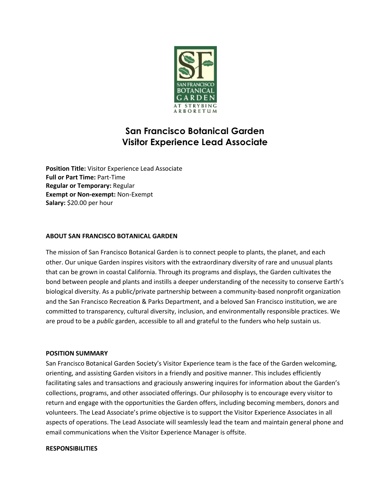

# **San Francisco Botanical Garden Visitor Experience Lead Associate**

**Position Title:** Visitor Experience Lead Associate **Full or Part Time:** Part-Time **Regular or Temporary:** Regular **Exempt or Non-exempt:** Non-Exempt **Salary:** \$20.00 per hour

# **ABOUT SAN FRANCISCO BOTANICAL GARDEN**

The mission of San Francisco Botanical Garden is to connect people to plants, the planet, and each other. Our unique Garden inspires visitors with the extraordinary diversity of rare and unusual plants that can be grown in coastal California. Through its programs and displays, the Garden cultivates the bond between people and plants and instills a deeper understanding of the necessity to conserve Earth's biological diversity. As a public/private partnership between a community-based nonprofit organization and the San Francisco Recreation & Parks Department, and a beloved San Francisco institution, we are committed to transparency, cultural diversity, inclusion, and environmentally responsible practices. We are proud to be a *public* garden, accessible to all and grateful to the funders who help sustain us.

### **POSITION SUMMARY**

San Francisco Botanical Garden Society's Visitor Experience team is the face of the Garden welcoming, orienting, and assisting Garden visitors in a friendly and positive manner. This includes efficiently facilitating sales and transactions and graciously answering inquires for information about the Garden's collections, programs, and other associated offerings. Our philosophy is to encourage every visitor to return and engage with the opportunities the Garden offers, including becoming members, donors and volunteers. The Lead Associate's prime objective is to support the Visitor Experience Associates in all aspects of operations. The Lead Associate will seamlessly lead the team and maintain general phone and email communications when the Visitor Experience Manager is offsite.

### **RESPONSIBILITIES**